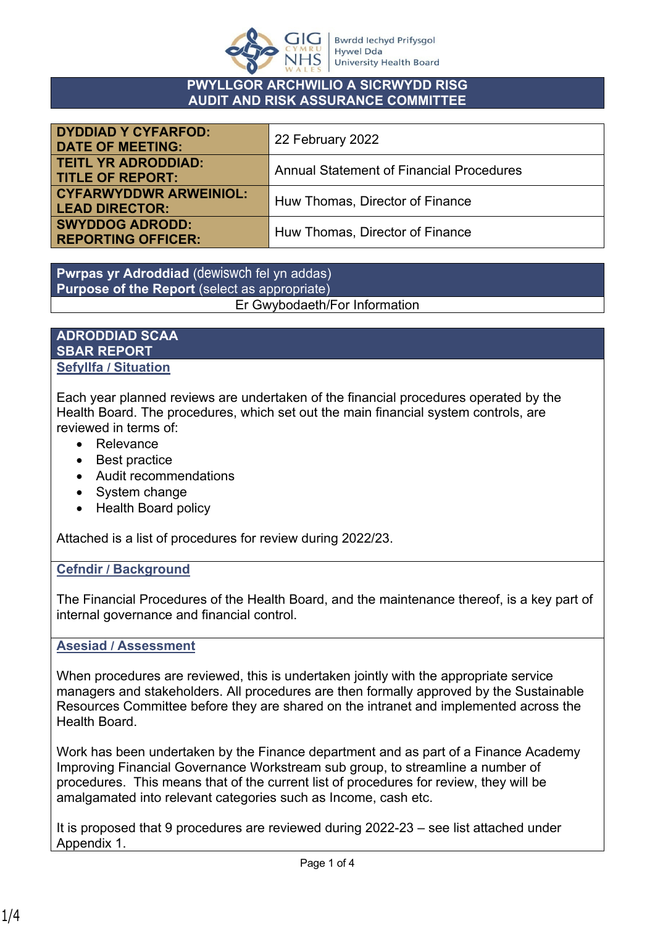

#### **PWYLLGOR ARCHWILIO A SICRWYDD RISG AUDIT AND RISK ASSURANCE COMMITTEE**

| <b>DYDDIAD Y CYFARFOD:</b><br><b>DATE OF MEETING:</b>  | 22 February 2022                                |  |
|--------------------------------------------------------|-------------------------------------------------|--|
| <b>TEITL YR ADRODDIAD:</b><br><b>TITLE OF REPORT:</b>  | <b>Annual Statement of Financial Procedures</b> |  |
| <b>CYFARWYDDWR ARWEINIOL:</b><br><b>LEAD DIRECTOR:</b> | Huw Thomas, Director of Finance                 |  |
| <b>SWYDDOG ADRODD:</b><br><b>REPORTING OFFICER:</b>    | Huw Thomas, Director of Finance                 |  |

**Pwrpas yr Adroddiad** (dewiswch fel yn addas) **Purpose of the Report** (select as appropriate) Er Gwybodaeth/For Information

#### **ADRODDIAD SCAA SBAR REPORT Sefyllfa / Situation**

Each year planned reviews are undertaken of the financial procedures operated by the Health Board. The procedures, which set out the main financial system controls, are reviewed in terms of:

- Relevance
- Best practice
- Audit recommendations
- System change
- Health Board policy

Attached is a list of procedures for review during 2022/23.

## **Cefndir / Background**

The Financial Procedures of the Health Board, and the maintenance thereof, is a key part of internal governance and financial control.

### **Asesiad / Assessment**

When procedures are reviewed, this is undertaken jointly with the appropriate service managers and stakeholders. All procedures are then formally approved by the Sustainable Resources Committee before they are shared on the intranet and implemented across the Health Board.

Work has been undertaken by the Finance department and as part of a Finance Academy Improving Financial Governance Workstream sub group, to streamline a number of procedures. This means that of the current list of procedures for review, they will be amalgamated into relevant categories such as Income, cash etc.

It is proposed that 9 procedures are reviewed during 2022-23 – see list attached under Appendix 1.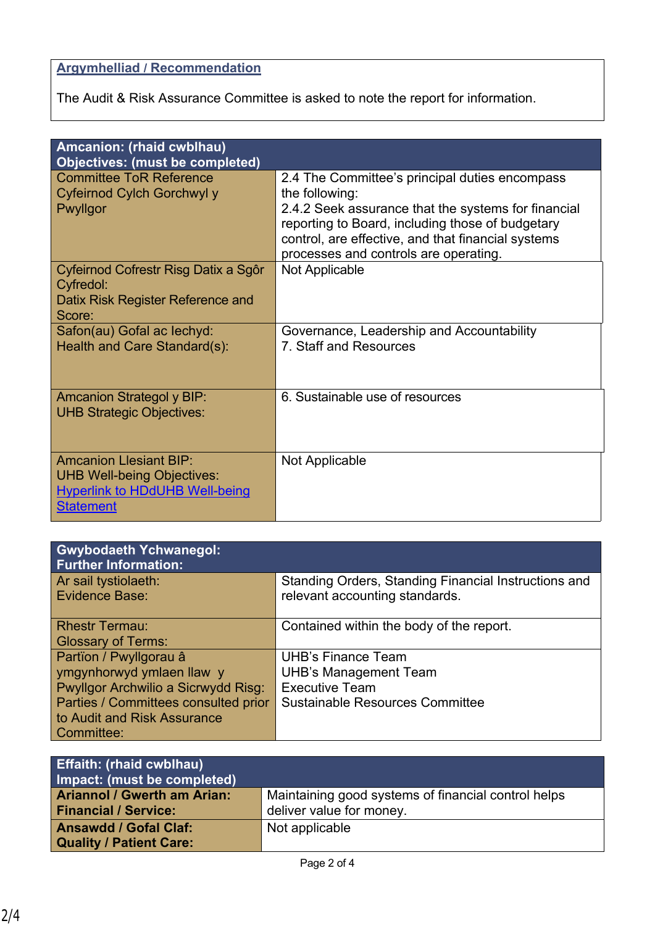# **Argymhelliad / Recommendation**

The Audit & Risk Assurance Committee is asked to note the report for information.

| Amcanion: (rhaid cwblhau)                                                                                                       |                                                                                                                                                                                                                                                                            |  |
|---------------------------------------------------------------------------------------------------------------------------------|----------------------------------------------------------------------------------------------------------------------------------------------------------------------------------------------------------------------------------------------------------------------------|--|
| <b>Objectives: (must be completed)</b><br><b>Committee ToR Reference</b><br>Cyfeirnod Cylch Gorchwyl y<br>Pwyllgor              | 2.4 The Committee's principal duties encompass<br>the following:<br>2.4.2 Seek assurance that the systems for financial<br>reporting to Board, including those of budgetary<br>control, are effective, and that financial systems<br>processes and controls are operating. |  |
| Cyfeirnod Cofrestr Risg Datix a Sgôr<br>Cyfredol:<br>Datix Risk Register Reference and<br>Score:                                | <b>Not Applicable</b>                                                                                                                                                                                                                                                      |  |
| Safon(au) Gofal ac lechyd:<br>Health and Care Standard(s):                                                                      | Governance, Leadership and Accountability<br>7. Staff and Resources                                                                                                                                                                                                        |  |
| <b>Amcanion Strategol y BIP:</b><br><b>UHB Strategic Objectives:</b>                                                            | 6. Sustainable use of resources                                                                                                                                                                                                                                            |  |
| <b>Amcanion Llesiant BIP:</b><br><b>UHB Well-being Objectives:</b><br><b>Hyperlink to HDdUHB Well-being</b><br><b>Statement</b> | Not Applicable                                                                                                                                                                                                                                                             |  |

| <b>Gwybodaeth Ychwanegol:</b><br><b>Further Information:</b> |                                                                                        |
|--------------------------------------------------------------|----------------------------------------------------------------------------------------|
| Ar sail tystiolaeth:<br>Evidence Base:                       | Standing Orders, Standing Financial Instructions and<br>relevant accounting standards. |
| <b>Rhestr Termau:</b><br><b>Glossary of Terms:</b>           | Contained within the body of the report.                                               |
| Partïon / Pwyllgorau â                                       | <b>UHB's Finance Team</b>                                                              |
| ymgynhorwyd ymlaen llaw y                                    | <b>UHB's Management Team</b>                                                           |
| Pwyllgor Archwilio a Sicrwydd Risg:                          | <b>Executive Team</b>                                                                  |
| Parties / Committees consulted prior                         | <b>Sustainable Resources Committee</b>                                                 |
| to Audit and Risk Assurance                                  |                                                                                        |
| Committee:                                                   |                                                                                        |

| <b>Effaith: (rhaid cwblhau)</b><br>Impact: (must be completed)    |                                                                                 |
|-------------------------------------------------------------------|---------------------------------------------------------------------------------|
| <b>Ariannol / Gwerth am Arian:</b><br><b>Financial / Service:</b> | Maintaining good systems of financial control helps<br>deliver value for money. |
| <b>Ansawdd / Gofal Claf:</b><br><b>Quality / Patient Care:</b>    | Not applicable                                                                  |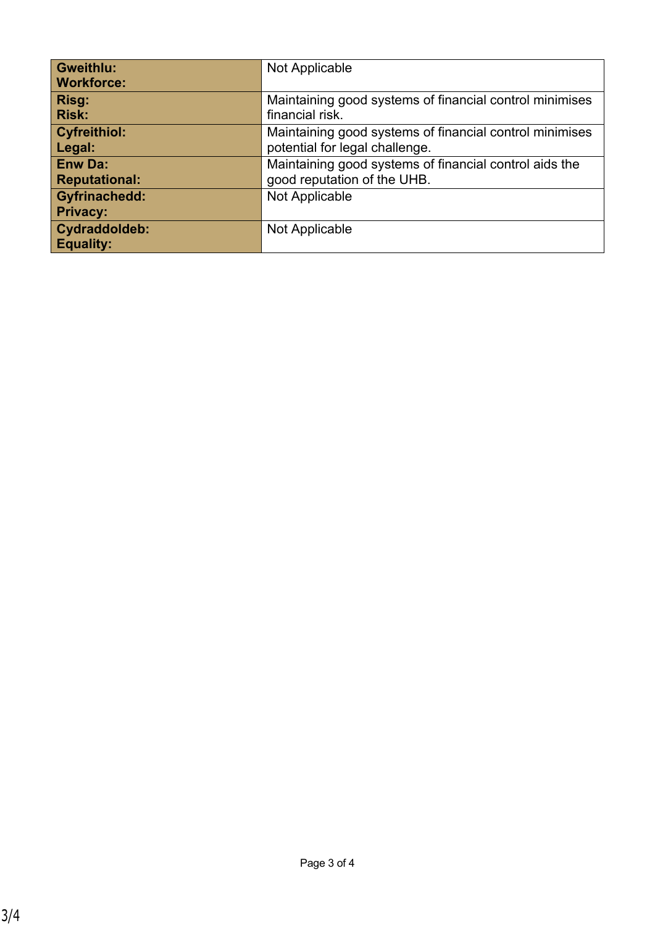| <b>Gweithlu:</b>     | Not Applicable                                          |  |  |
|----------------------|---------------------------------------------------------|--|--|
| <b>Workforce:</b>    |                                                         |  |  |
| Risg:                | Maintaining good systems of financial control minimises |  |  |
| <b>Risk:</b>         | financial risk.                                         |  |  |
| <b>Cyfreithiol:</b>  | Maintaining good systems of financial control minimises |  |  |
| Legal:               | potential for legal challenge.                          |  |  |
| <b>Enw Da:</b>       | Maintaining good systems of financial control aids the  |  |  |
| <b>Reputational:</b> | good reputation of the UHB.                             |  |  |
| <b>Gyfrinachedd:</b> | Not Applicable                                          |  |  |
| <b>Privacy:</b>      |                                                         |  |  |
| Cydraddoldeb:        | Not Applicable                                          |  |  |
| <b>Equality:</b>     |                                                         |  |  |